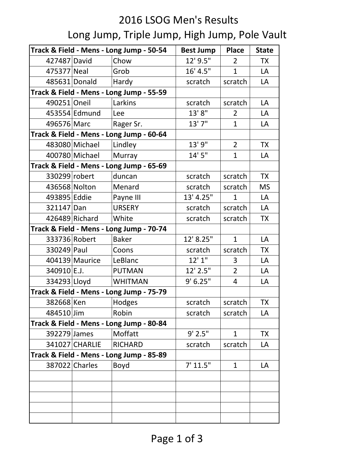## 2016 LSOG Men's Results Long Jump, Triple Jump, High Jump, Pole Vault

| Track & Field - Mens - Long Jump - 50-54 |                |                                          | <b>Best Jump</b> | <b>Place</b>   | <b>State</b> |
|------------------------------------------|----------------|------------------------------------------|------------------|----------------|--------------|
| 427487 David                             |                | Chow                                     | 12' 9.5"         | $\overline{2}$ | <b>TX</b>    |
| 475377 Neal                              |                | Grob                                     | 16' 4.5"         | $\mathbf{1}$   | LA           |
| 485631 Donald                            |                | Hardy                                    | scratch          | scratch        | LA           |
|                                          |                | Track & Field - Mens - Long Jump - 55-59 |                  |                |              |
| 490251 Oneil                             |                | Larkins                                  | scratch          | scratch        | LA           |
|                                          | 453554 Edmund  | Lee                                      | 13'8"            | $\overline{2}$ | LA           |
| 496576 Marc                              |                | Rager Sr.                                | 13'7"            | $\mathbf{1}$   | LA           |
|                                          |                | Track & Field - Mens - Long Jump - 60-64 |                  |                |              |
|                                          | 483080 Michael | Lindley                                  | 13' 9"           | $\overline{2}$ | <b>TX</b>    |
|                                          | 400780 Michael | Murray                                   | 14'5''           | $\mathbf{1}$   | LA           |
| Track & Field - Mens - Long Jump - 65-69 |                |                                          |                  |                |              |
| 330299 robert                            |                | duncan                                   | scratch          | scratch        | <b>TX</b>    |
| 436568 Nolton                            |                | Menard                                   | scratch          | scratch        | <b>MS</b>    |
| 493895 Eddie                             |                | Payne III                                | 13' 4.25"        | $\mathbf{1}$   | LA           |
| 321147 Dan                               |                | <b>URSERY</b>                            | scratch          | scratch        | LA           |
|                                          | 426489 Richard | White                                    | scratch          | scratch        | <b>TX</b>    |
| Track & Field - Mens - Long Jump - 70-74 |                |                                          |                  |                |              |
| 333736 Robert                            |                | <b>Baker</b>                             | 12' 8.25"        | $\mathbf{1}$   | LA           |
| 330249 Paul                              |                | Coons                                    | scratch          | scratch        | <b>TX</b>    |
|                                          | 404139 Maurice | LeBlanc                                  | 12'1''           | 3              | LA           |
| 340910 E.J.                              |                | <b>PUTMAN</b>                            | 12' 2.5"         | 2              | LA           |
| 334293 Lloyd                             |                | <b>WHITMAN</b>                           | 9' 6.25''        | 4              | LA           |
| Track & Field - Mens - Long Jump - 75-79 |                |                                          |                  |                |              |
| 382668 Ken                               |                | Hodges                                   | scratch          | scratch        | TX           |
| 484510 Jim                               |                | Robin                                    | scratch          | scratch        | LA           |
|                                          |                | Track & Field - Mens - Long Jump - 80-84 |                  |                |              |
| 392279 James                             |                | Moffatt                                  | $9'$ 2.5"        | $\mathbf{1}$   | <b>TX</b>    |
|                                          | 341027 CHARLIE | <b>RICHARD</b>                           | scratch          | scratch        | LA           |
| Track & Field - Mens - Long Jump - 85-89 |                |                                          |                  |                |              |
|                                          | 387022 Charles | Boyd                                     | 7' 11.5"         | $\mathbf{1}$   | LA           |
|                                          |                |                                          |                  |                |              |
|                                          |                |                                          |                  |                |              |
|                                          |                |                                          |                  |                |              |
|                                          |                |                                          |                  |                |              |
|                                          |                |                                          |                  |                |              |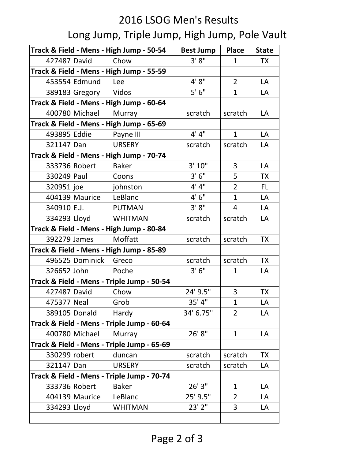## 2016 LSOG Men's Results Long Jump, Triple Jump, High Jump, Pole Vault

| Track & Field - Mens - High Jump - 50-54   |                 |                                            | <b>Best Jump</b> | Place          | <b>State</b> |
|--------------------------------------------|-----------------|--------------------------------------------|------------------|----------------|--------------|
| 427487 David                               |                 | Chow                                       | 3'8''            | $\mathbf{1}$   | <b>TX</b>    |
| Track & Field - Mens - High Jump - 55-59   |                 |                                            |                  |                |              |
|                                            | 453554 Edmund   | Lee                                        | 4'8''            | $\overline{2}$ | LA           |
|                                            | 389183 Gregory  | Vidos                                      | 5'6''            | $\mathbf{1}$   | LA           |
| Track & Field - Mens - High Jump - 60-64   |                 |                                            |                  |                |              |
|                                            | 400780 Michael  | Murray                                     | scratch          | scratch        | LA           |
| Track & Field - Mens - High Jump - 65-69   |                 |                                            |                  |                |              |
| 493895 Eddie                               |                 | Payne III                                  | 4' 4''           | $\mathbf{1}$   | LA           |
| 321147 Dan                                 |                 | <b>URSERY</b>                              | scratch          | scratch        | LA           |
|                                            |                 | Track & Field - Mens - High Jump - 70-74   |                  |                |              |
| 333736 Robert                              |                 | <b>Baker</b>                               | 3' 10''          | 3              | LA           |
| 330249 Paul                                |                 | Coons                                      | 3'6''            | 5              | <b>TX</b>    |
| 320951 joe                                 |                 | johnston                                   | 4' 4''           | $\overline{2}$ | FL.          |
|                                            | 404139 Maurice  | LeBlanc                                    | 4'6''            | $\mathbf{1}$   | LA           |
| 340910 E.J.                                |                 | <b>PUTMAN</b>                              | 3' 8''           | $\overline{4}$ | LA           |
| 334293 Lloyd                               |                 | <b>WHITMAN</b>                             | scratch          | scratch        | LA           |
|                                            |                 | Track & Field - Mens - High Jump - 80-84   |                  |                |              |
| 392279 James                               |                 | Moffatt                                    | scratch          | scratch        | <b>TX</b>    |
| Track & Field - Mens - High Jump - 85-89   |                 |                                            |                  |                |              |
|                                            | 496525 Dominick | Greco                                      | scratch          | scratch        | <b>TX</b>    |
| 326652 John                                |                 | Poche                                      | 3'6''            | $\mathbf{1}$   | LA           |
| Track & Field - Mens - Triple Jump - 50-54 |                 |                                            |                  |                |              |
| 427487 David                               |                 | Chow                                       | 24' 9.5"         | 3              | <b>TX</b>    |
| 475377 Neal                                |                 | Grob                                       | 35' 4"           | $\mathbf{1}$   | LA           |
|                                            | 389105 Donald   | Hardy                                      | 34' 6.75"        | $\overline{2}$ | LA           |
|                                            |                 | Track & Field - Mens - Triple Jump - 60-64 |                  |                |              |
|                                            | 400780 Michael  | Murray                                     | 26'8"            | $\mathbf{1}$   | LA           |
|                                            |                 | Track & Field - Mens - Triple Jump - 65-69 |                  |                |              |
| 330299 robert                              |                 | duncan                                     | scratch          | scratch        | <b>TX</b>    |
| 321147 Dan                                 |                 | <b>URSERY</b>                              | scratch          | scratch        | LA           |
| Track & Field - Mens - Triple Jump - 70-74 |                 |                                            |                  |                |              |
| 333736 Robert                              |                 | <b>Baker</b>                               | 26'3''           | $\mathbf{1}$   | LA           |
|                                            | 404139 Maurice  | LeBlanc                                    | 25' 9.5"         | $\overline{2}$ | LA           |
| 334293 Lloyd                               |                 | <b>WHITMAN</b>                             | 23'2''           | $\overline{3}$ | LA           |
|                                            |                 |                                            |                  |                |              |